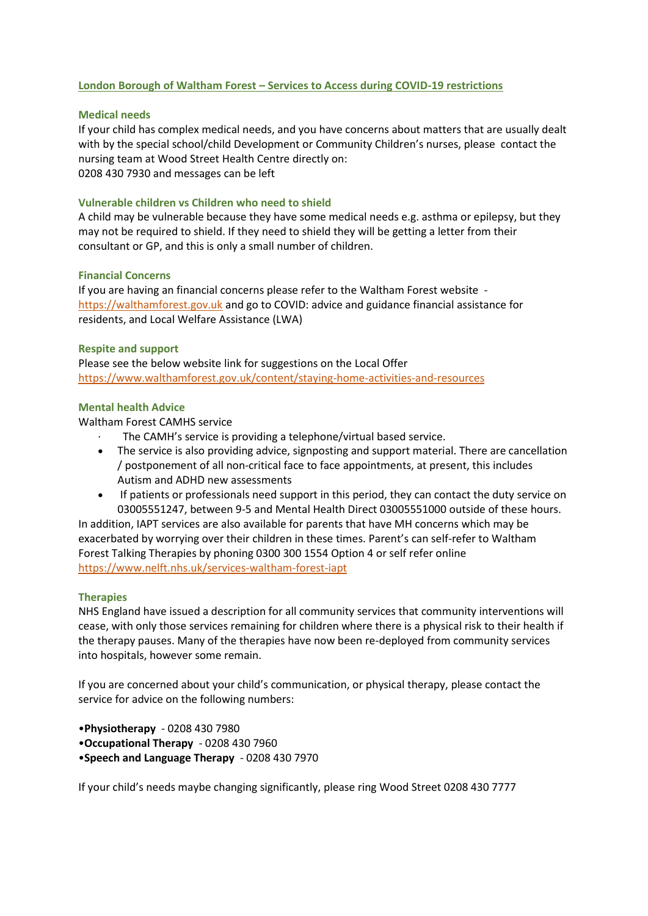# **London Borough of Waltham Forest – Services to Access during COVID-19 restrictions**

## **Medical needs**

If your child has complex medical needs, and you have concerns about matters that are usually dealt with by the special school/child Development or Community Children's nurses, please contact the nursing team at Wood Street Health Centre directly on: 0208 430 7930 and messages can be left

## **Vulnerable children vs Children who need to shield**

A child may be vulnerable because they have some medical needs e.g. asthma or epilepsy, but they may not be required to shield. If they need to shield they will be getting a letter from their consultant or GP, and this is only a small number of children.

#### **Financial Concerns**

If you are having an financial concerns please refer to the Waltham Forest website [https://walthamforest.gov.uk](https://walthamforest.gov.uk/) and go to COVID: advice and guidance financial assistance for residents, and Local Welfare Assistance (LWA)

### **Respite and support**

Please see the below website link for suggestions on the Local Offer <https://www.walthamforest.gov.uk/content/staying-home-activities-and-resources>

### **Mental health Advice**

Waltham Forest CAMHS service

- The CAMH's service is providing a telephone/virtual based service.
- The service is also providing advice, signposting and support material. There are cancellation / postponement of all non-critical face to face appointments, at present, this includes Autism and ADHD new assessments
- If patients or professionals need support in this period, they can contact the duty service on 03005551247, between 9-5 and Mental Health Direct 03005551000 outside of these hours.

In addition, IAPT services are also available for parents that have MH concerns which may be exacerbated by worrying over their children in these times. Parent's can self-refer to Waltham Forest Talking Therapies by phoning 0300 300 1554 Option 4 or self refer online <https://www.nelft.nhs.uk/services-waltham-forest-iapt>

#### **Therapies**

NHS England have issued a description for all community services that community interventions will cease, with only those services remaining for children where there is a physical risk to their health if the therapy pauses. Many of the therapies have now been re-deployed from community services into hospitals, however some remain.

If you are concerned about your child's communication, or physical therapy, please contact the service for advice on the following numbers:

- •**Physiotherapy** 0208 430 7980
- •**Occupational Therapy**  0208 430 7960
- •**Speech and Language Therapy** 0208 430 7970

If your child's needs maybe changing significantly, please ring Wood Street 0208 430 7777